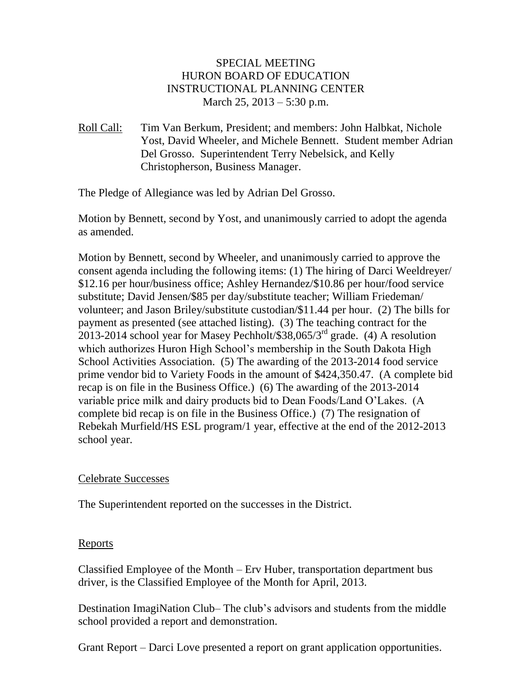# SPECIAL MEETING HURON BOARD OF EDUCATION INSTRUCTIONAL PLANNING CENTER March 25, 2013 – 5:30 p.m.

Roll Call: Tim Van Berkum, President; and members: John Halbkat, Nichole Yost, David Wheeler, and Michele Bennett. Student member Adrian Del Grosso. Superintendent Terry Nebelsick, and Kelly Christopherson, Business Manager.

The Pledge of Allegiance was led by Adrian Del Grosso.

Motion by Bennett, second by Yost, and unanimously carried to adopt the agenda as amended.

Motion by Bennett, second by Wheeler, and unanimously carried to approve the consent agenda including the following items: (1) The hiring of Darci Weeldreyer/ \$12.16 per hour/business office; Ashley Hernandez/\$10.86 per hour/food service substitute; David Jensen/\$85 per day/substitute teacher; William Friedeman/ volunteer; and Jason Briley/substitute custodian/\$11.44 per hour. (2) The bills for payment as presented (see attached listing). (3) The teaching contract for the  $2013$ -2014 school year for Masey Pechholt/\$38,065/3<sup>rd</sup> grade. (4) A resolution which authorizes Huron High School's membership in the South Dakota High School Activities Association. (5) The awarding of the 2013-2014 food service prime vendor bid to Variety Foods in the amount of \$424,350.47. (A complete bid recap is on file in the Business Office.) (6) The awarding of the 2013-2014 variable price milk and dairy products bid to Dean Foods/Land O'Lakes. (A complete bid recap is on file in the Business Office.) (7) The resignation of Rebekah Murfield/HS ESL program/1 year, effective at the end of the 2012-2013 school year.

# Celebrate Successes

The Superintendent reported on the successes in the District.

# Reports

Classified Employee of the Month – Erv Huber, transportation department bus driver, is the Classified Employee of the Month for April, 2013.

Destination ImagiNation Club– The club's advisors and students from the middle school provided a report and demonstration.

Grant Report – Darci Love presented a report on grant application opportunities.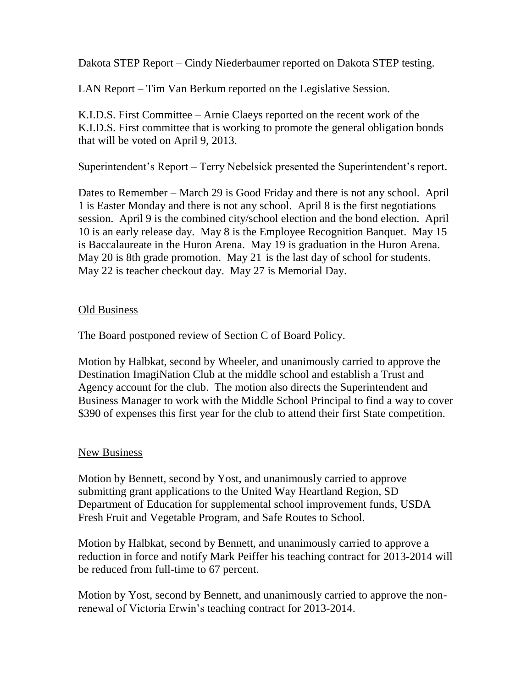Dakota STEP Report – Cindy Niederbaumer reported on Dakota STEP testing.

LAN Report – Tim Van Berkum reported on the Legislative Session.

K.I.D.S. First Committee – Arnie Claeys reported on the recent work of the K.I.D.S. First committee that is working to promote the general obligation bonds that will be voted on April 9, 2013.

Superintendent's Report – Terry Nebelsick presented the Superintendent's report.

Dates to Remember – March 29 is Good Friday and there is not any school. April 1 is Easter Monday and there is not any school. April 8 is the first negotiations session. April 9 is the combined city/school election and the bond election. April 10 is an early release day. May 8 is the Employee Recognition Banquet. May 15 is Baccalaureate in the Huron Arena. May 19 is graduation in the Huron Arena. May 20 is 8th grade promotion. May 21 is the last day of school for students. May 22 is teacher checkout day. May 27 is Memorial Day.

#### **Old Business**

The Board postponed review of Section C of Board Policy.

Motion by Halbkat, second by Wheeler, and unanimously carried to approve the Destination ImagiNation Club at the middle school and establish a Trust and Agency account for the club. The motion also directs the Superintendent and Business Manager to work with the Middle School Principal to find a way to cover \$390 of expenses this first year for the club to attend their first State competition.

#### New Business

Motion by Bennett, second by Yost, and unanimously carried to approve submitting grant applications to the United Way Heartland Region, SD Department of Education for supplemental school improvement funds, USDA Fresh Fruit and Vegetable Program, and Safe Routes to School.

Motion by Halbkat, second by Bennett, and unanimously carried to approve a reduction in force and notify Mark Peiffer his teaching contract for 2013-2014 will be reduced from full-time to 67 percent.

Motion by Yost, second by Bennett, and unanimously carried to approve the nonrenewal of Victoria Erwin's teaching contract for 2013-2014.